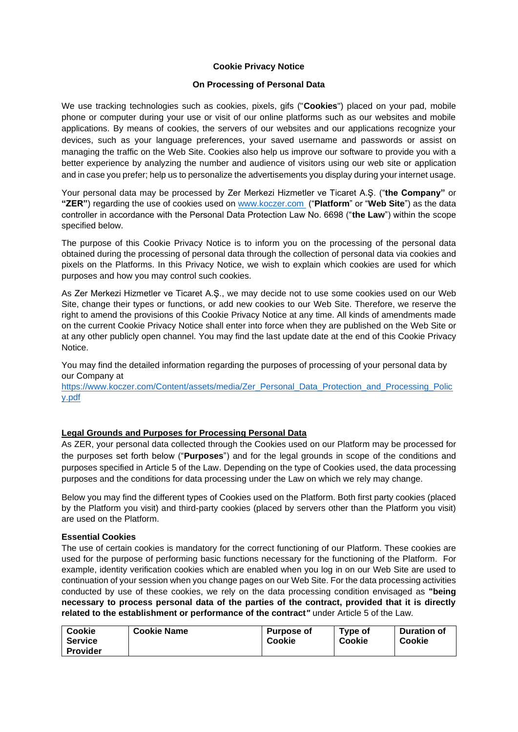### **Cookie Privacy Notice**

### **On Processing of Personal Data**

We use tracking technologies such as cookies, pixels, gifs ("**Cookies**") placed on your pad, mobile phone or computer during your use or visit of our online platforms such as our websites and mobile applications. By means of cookies, the servers of our websites and our applications recognize your devices, such as your language preferences, your saved username and passwords or assist on managing the traffic on the Web Site. Cookies also help us improve our software to provide you with a better experience by analyzing the number and audience of visitors using our web site or application and in case you prefer; help us to personalize the advertisements you display during your internet usage.

Your personal data may be processed by Zer Merkezi Hizmetler ve Ticaret A.Ş. ("**the Company"** or **"ZER"**) regarding the use of cookies used on [www.koczer.com](http://www.koczer.com/) ("**Platform**" or "**Web Site**") as the data controller in accordance with the Personal Data Protection Law No. 6698 ("**the Law**") within the scope specified below.

The purpose of this Cookie Privacy Notice is to inform you on the processing of the personal data obtained during the processing of personal data through the collection of personal data via cookies and pixels on the Platforms. In this Privacy Notice, we wish to explain which cookies are used for which purposes and how you may control such cookies.

As Zer Merkezi Hizmetler ve Ticaret A.Ş., we may decide not to use some cookies used on our Web Site, change their types or functions, or add new cookies to our Web Site. Therefore, we reserve the right to amend the provisions of this Cookie Privacy Notice at any time. All kinds of amendments made on the current Cookie Privacy Notice shall enter into force when they are published on the Web Site or at any other publicly open channel. You may find the last update date at the end of this Cookie Privacy Notice.

You may find the detailed information regarding the purposes of processing of your personal data by our Company at

[https://www.koczer.com/Content/assets/media/Zer\\_Personal\\_Data\\_Protection\\_and\\_Processing\\_Polic](https://www.koczer.com/Content/assets/media/Zer_Personal_Data_Protection_and_Processing_Policy.pdf) [y.pdf](https://www.koczer.com/Content/assets/media/Zer_Personal_Data_Protection_and_Processing_Policy.pdf)

#### **Legal Grounds and Purposes for Processing Personal Data**

As ZER, your personal data collected through the Cookies used on our Platform may be processed for the purposes set forth below ("**Purposes**") and for the legal grounds in scope of the conditions and purposes specified in Article 5 of the Law. Depending on the type of Cookies used, the data processing purposes and the conditions for data processing under the Law on which we rely may change.

Below you may find the different types of Cookies used on the Platform. Both first party cookies (placed by the Platform you visit) and third-party cookies (placed by servers other than the Platform you visit) are used on the Platform.

#### **Essential Cookies**

The use of certain cookies is mandatory for the correct functioning of our Platform. These cookies are used for the purpose of performing basic functions necessary for the functioning of the Platform. For example, identity verification cookies which are enabled when you log in on our Web Site are used to continuation of your session when you change pages on our Web Site. For the data processing activities conducted by use of these cookies, we rely on the data processing condition envisaged as **"being necessary to process personal data of the parties of the contract, provided that it is directly related to the establishment or performance of the contract***"* under Article 5 of the Law*.*

| Cookie          | <b>Cookie Name</b> | <b>Purpose of</b> | Type of | <b>Duration of</b> |
|-----------------|--------------------|-------------------|---------|--------------------|
| <b>Service</b>  |                    | Cookie            | Cookie  | Cookie             |
| <b>Provider</b> |                    |                   |         |                    |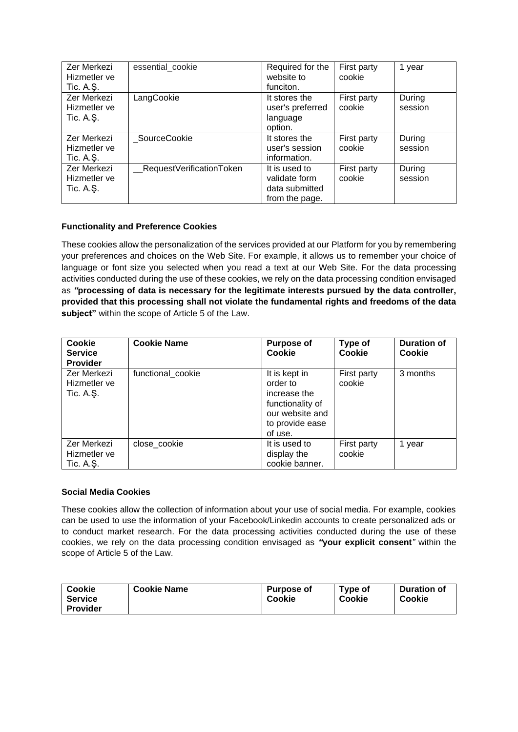| Zer Merkezi                 | essential cookie         | Required for the                  | First party           | 1 year            |
|-----------------------------|--------------------------|-----------------------------------|-----------------------|-------------------|
| Hizmetler ve                |                          | website to                        | cookie                |                   |
| Tic. A.Ş.                   |                          | funciton.                         |                       |                   |
| Zer Merkezi<br>Hizmetler ve | LangCookie               | It stores the<br>user's preferred | First party<br>cookie | During<br>session |
| Tic. A.Ş.                   |                          | language                          |                       |                   |
|                             |                          | option.                           |                       |                   |
| Zer Merkezi                 | SourceCookie             | It stores the                     | First party           | During            |
| Hizmetler ve                |                          | user's session                    | cookie                | session           |
| Tic. $A.S.$                 |                          | information.                      |                       |                   |
| Zer Merkezi                 | RequestVerificationToken | It is used to                     | First party           | During            |
| Hizmetler ve                |                          | validate form                     | cookie                | session           |
| Tic. A.Ş.                   |                          | data submitted                    |                       |                   |
|                             |                          | from the page.                    |                       |                   |

## **Functionality and Preference Cookies**

These cookies allow the personalization of the services provided at our Platform for you by remembering your preferences and choices on the Web Site. For example, it allows us to remember your choice of language or font size you selected when you read a text at our Web Site. For the data processing activities conducted during the use of these cookies, we rely on the data processing condition envisaged as *"***processing of data is necessary for the legitimate interests pursued by the data controller, provided that this processing shall not violate the fundamental rights and freedoms of the data subject"** within the scope of Article 5 of the Law.

| <b>Cookie</b><br><b>Service</b><br><b>Provider</b> | <b>Cookie Name</b> | <b>Purpose of</b><br>Cookie                                                                                    | Type of<br>Cookie     | <b>Duration of</b><br>Cookie |
|----------------------------------------------------|--------------------|----------------------------------------------------------------------------------------------------------------|-----------------------|------------------------------|
| Zer Merkezi<br>Hizmetler ve<br>Tic. A.Ş.           | functional cookie  | It is kept in<br>order to<br>increase the<br>functionality of<br>our website and<br>to provide ease<br>of use. | First party<br>cookie | 3 months                     |
| Zer Merkezi<br>Hizmetler ve<br>Tic. A.Ş.           | close_cookie       | It is used to<br>display the<br>cookie banner.                                                                 | First party<br>cookie | 1 year                       |

# **Social Media Cookies**

These cookies allow the collection of information about your use of social media. For example, cookies can be used to use the information of your Facebook/Linkedin accounts to create personalized ads or to conduct market research. For the data processing activities conducted during the use of these cookies, we rely on the data processing condition envisaged as *"***your explicit consent***"* within the scope of Article 5 of the Law.

| <b>Cookie</b>   | <b>Cookie Name</b> | <b>Purpose of</b> | Type of | <b>Duration of</b> |
|-----------------|--------------------|-------------------|---------|--------------------|
| <b>Service</b>  |                    | Cookie            | Cookie  | Cookie             |
| <b>Provider</b> |                    |                   |         |                    |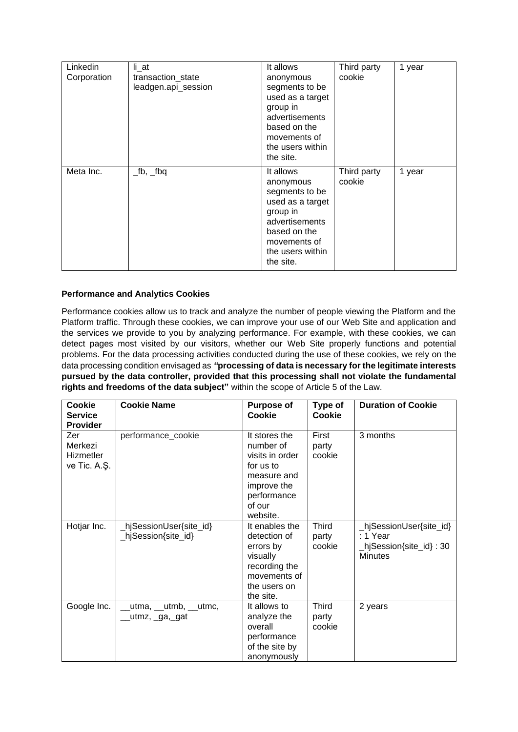| Linkedin<br>Corporation | li_at<br>transaction_state<br>leadgen.api_session | It allows<br>anonymous<br>segments to be<br>used as a target<br>group in<br>advertisements<br>based on the<br>movements of<br>the users within<br>the site. | Third party<br>cookie | 1 year |
|-------------------------|---------------------------------------------------|-------------------------------------------------------------------------------------------------------------------------------------------------------------|-----------------------|--------|
| Meta Inc.               | $\_$ fb, $\_$ fbq                                 | It allows<br>anonymous<br>segments to be<br>used as a target<br>group in<br>advertisements<br>based on the<br>movements of<br>the users within<br>the site. | Third party<br>cookie | 1 year |

## **Performance and Analytics Cookies**

Performance cookies allow us to track and analyze the number of people viewing the Platform and the Platform traffic. Through these cookies, we can improve your use of our Web Site and application and the services we provide to you by analyzing performance. For example, with these cookies, we can detect pages most visited by our visitors, whether our Web Site properly functions and potential problems. For the data processing activities conducted during the use of these cookies, we rely on the data processing condition envisaged as *"***processing of data is necessary for the legitimate interests pursued by the data controller, provided that this processing shall not violate the fundamental rights and freedoms of the data subject"** within the scope of Article 5 of the Law.

| <b>Cookie</b><br><b>Service</b><br><b>Provider</b> | <b>Cookie Name</b>                            | <b>Purpose of</b><br><b>Cookie</b>                                                                                            | Type of<br>Cookie               | <b>Duration of Cookie</b>                                                         |
|----------------------------------------------------|-----------------------------------------------|-------------------------------------------------------------------------------------------------------------------------------|---------------------------------|-----------------------------------------------------------------------------------|
| Zer<br>Merkezi<br>Hizmetler<br>ve Tic. A.Ş.        | performance_cookie                            | It stores the<br>number of<br>visits in order<br>for us to<br>measure and<br>improve the<br>performance<br>of our<br>website. | First<br>party<br>cookie        | 3 months                                                                          |
| Hotjar Inc.                                        | hjSessionUser{site_id}<br>_hjSession{site_id} | It enables the<br>detection of<br>errors by<br>visually<br>recording the<br>movements of<br>the users on<br>the site.         | <b>Third</b><br>party<br>cookie | _hjSessionUser{site_id}<br>: 1 Year<br>hjSession{site_id} : 30_<br><b>Minutes</b> |
| Google Inc.                                        | utma, __utmb, __utmc,<br>utmz, _ga,_gat_      | It allows to<br>analyze the<br>overall<br>performance<br>of the site by<br>anonymously                                        | Third<br>party<br>cookie        | 2 years                                                                           |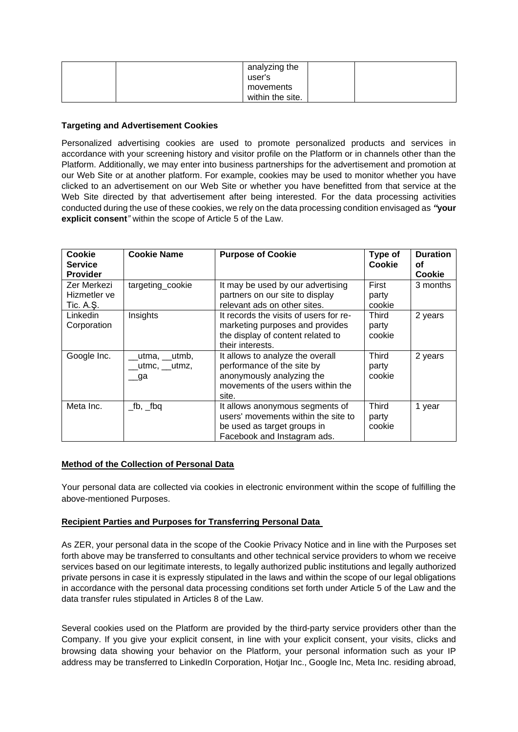| analyzing the<br>user's       |  |
|-------------------------------|--|
| movements<br>within the site. |  |

## **Targeting and Advertisement Cookies**

Personalized advertising cookies are used to promote personalized products and services in accordance with your screening history and visitor profile on the Platform or in channels other than the Platform. Additionally, we may enter into business partnerships for the advertisement and promotion at our Web Site or at another platform. For example, cookies may be used to monitor whether you have clicked to an advertisement on our Web Site or whether you have benefitted from that service at the Web Site directed by that advertisement after being interested. For the data processing activities conducted during the use of these cookies, we rely on the data processing condition envisaged as *"***your explicit consent***"* within the scope of Article 5 of the Law.

| Cookie<br><b>Service</b><br><b>Provider</b> | <b>Cookie Name</b>                  | <b>Purpose of Cookie</b>                                                                                                                  | Type of<br>Cookie        | <b>Duration</b><br>οf<br>Cookie |
|---------------------------------------------|-------------------------------------|-------------------------------------------------------------------------------------------------------------------------------------------|--------------------------|---------------------------------|
| Zer Merkezi<br>Hizmetler ve<br>Tic. A.Ş.    | targeting_cookie                    | It may be used by our advertising<br>partners on our site to display<br>relevant ads on other sites.                                      | First<br>party<br>cookie | 3 months                        |
| <b>Linkedin</b><br>Corporation              | Insights                            | It records the visits of users for re-<br>marketing purposes and provides<br>the display of content related to<br>their interests.        | Third<br>party<br>cookie | 2 years                         |
| Google Inc.                                 | utma, __utmb,<br>utmc, utmz,<br>_ga | It allows to analyze the overall<br>performance of the site by<br>anonymously analyzing the<br>movements of the users within the<br>site. | Third<br>party<br>cookie | 2 years                         |
| Meta Inc.                                   | $\_$ fb, $\_$ fbq                   | It allows anonymous segments of<br>users' movements within the site to<br>be used as target groups in<br>Facebook and Instagram ads.      | Third<br>party<br>cookie | 1 year                          |

## **Method of the Collection of Personal Data**

Your personal data are collected via cookies in electronic environment within the scope of fulfilling the above-mentioned Purposes.

## **Recipient Parties and Purposes for Transferring Personal Data**

As ZER, your personal data in the scope of the Cookie Privacy Notice and in line with the Purposes set forth above may be transferred to consultants and other technical service providers to whom we receive services based on our legitimate interests, to legally authorized public institutions and legally authorized private persons in case it is expressly stipulated in the laws and within the scope of our legal obligations in accordance with the personal data processing conditions set forth under Article 5 of the Law and the data transfer rules stipulated in Articles 8 of the Law.

Several cookies used on the Platform are provided by the third-party service providers other than the Company. If you give your explicit consent, in line with your explicit consent, your visits, clicks and browsing data showing your behavior on the Platform, your personal information such as your IP address may be transferred to LinkedIn Corporation, Hotjar Inc., Google Inc, Meta Inc. residing abroad,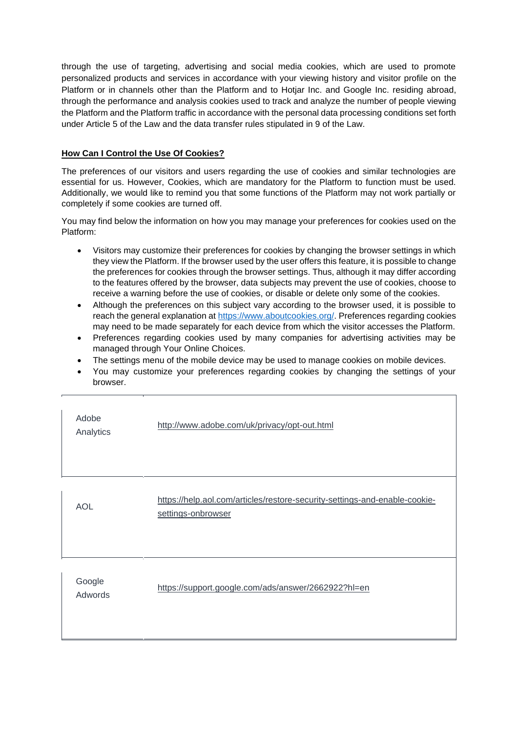through the use of targeting, advertising and social media cookies, which are used to promote personalized products and services in accordance with your viewing history and visitor profile on the Platform or in channels other than the Platform and to Hotjar Inc. and Google Inc. residing abroad, through the performance and analysis cookies used to track and analyze the number of people viewing the Platform and the Platform traffic in accordance with the personal data processing conditions set forth under Article 5 of the Law and the data transfer rules stipulated in 9 of the Law.

# **How Can I Control the Use Of Cookies?**

The preferences of our visitors and users regarding the use of cookies and similar technologies are essential for us. However, Cookies, which are mandatory for the Platform to function must be used. Additionally, we would like to remind you that some functions of the Platform may not work partially or completely if some cookies are turned off.

You may find below the information on how you may manage your preferences for cookies used on the Platform:

- Visitors may customize their preferences for cookies by changing the browser settings in which they view the Platform. If the browser used by the user offers this feature, it is possible to change the preferences for cookies through the browser settings. Thus, although it may differ according to the features offered by the browser, data subjects may prevent the use of cookies, choose to receive a warning before the use of cookies, or disable or delete only some of the cookies.
- Although the preferences on this subject vary according to the browser used, it is possible to reach the general explanation at [https://www.aboutcookies.org/.](https://www.aboutcookies.org/) Preferences regarding cookies may need to be made separately for each device from which the visitor accesses the Platform.
- Preferences regarding cookies used by many companies for advertising activities may be managed through Your Online Choices.
- The settings menu of the mobile device may be used to manage cookies on mobile devices.
- You may customize your preferences regarding cookies by changing the settings of your browser.

| Adobe<br>Analytics | http://www.adobe.com/uk/privacy/opt-out.html                                                     |
|--------------------|--------------------------------------------------------------------------------------------------|
| <b>AOL</b>         | https://help.aol.com/articles/restore-security-settings-and-enable-cookie-<br>settings-onbrowser |
| Google<br>Adwords  | https://support.google.com/ads/answer/2662922?hl=en                                              |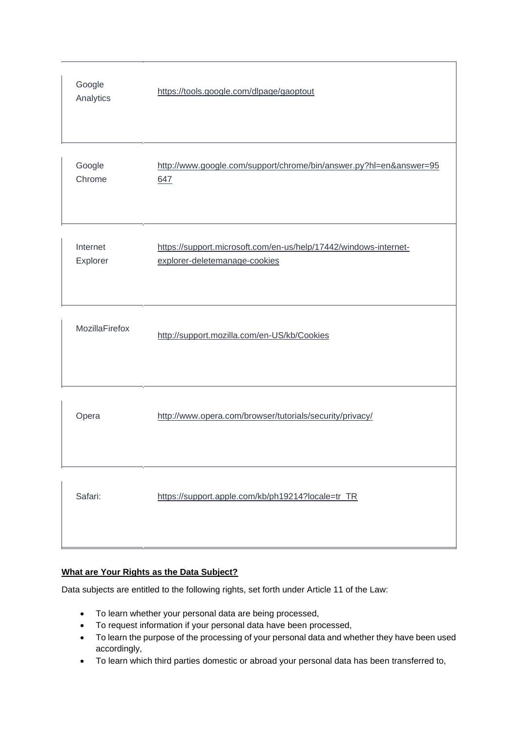| Google<br>Analytics  | https://tools.google.com/dlpage/gaoptout                                                          |
|----------------------|---------------------------------------------------------------------------------------------------|
| Google<br>Chrome     | http://www.google.com/support/chrome/bin/answer.py?hl=en&answer=95<br>647                         |
| Internet<br>Explorer | https://support.microsoft.com/en-us/help/17442/windows-internet-<br>explorer-deletemanage-cookies |
| MozillaFirefox       | http://support.mozilla.com/en-US/kb/Cookies                                                       |
| Opera                | http://www.opera.com/browser/tutorials/security/privacy/                                          |
| Safari:              | https://support.apple.com/kb/ph19214?locale=tr_TR                                                 |

# **What are Your Rights as the Data Subject?**

Data subjects are entitled to the following rights, set forth under Article 11 of the Law:

- To learn whether your personal data are being processed,
- To request information if your personal data have been processed,
- To learn the purpose of the processing of your personal data and whether they have been used accordingly,
- To learn which third parties domestic or abroad your personal data has been transferred to,